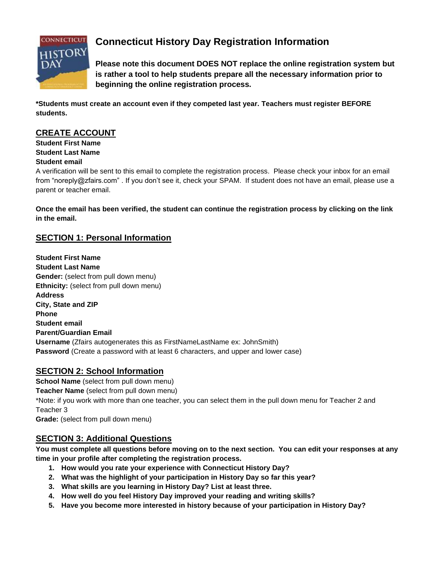

# **Connecticut History Day Registration Information**

**Please note this document DOES NOT replace the online registration system but is rather a tool to help students prepare all the necessary information prior to beginning the online registration process.**

**\*Students must create an account even if they competed last year. Teachers must register BEFORE students.**

# **CREATE ACCOUNT**

**Student First Name Student Last Name Student email**

A verification will be sent to this email to complete the registration process. Please check your inbox for an email from "noreply@zfairs.com" . If you don't see it, check your SPAM. If student does not have an email, please use a parent or teacher email.

**Once the email has been verified, the student can continue the registration process by clicking on the link in the email.**

# **SECTION 1: Personal Information**

**Student First Name Student Last Name Gender:** (select from pull down menu) **Ethnicity:** (select from pull down menu) **Address City, State and ZIP Phone Student email Parent/Guardian Email Username** (Zfairs autogenerates this as FirstNameLastName ex: JohnSmith) **Password** (Create a password with at least 6 characters, and upper and lower case)

# **SECTION 2: School Information**

**School Name** (select from pull down menu) **Teacher Name** (select from pull down menu) \*Note: if you work with more than one teacher, you can select them in the pull down menu for Teacher 2 and Teacher 3 **Grade:** (select from pull down menu)

## **SECTION 3: Additional Questions**

**You must complete all questions before moving on to the next section. You can edit your responses at any time in your profile after completing the registration process.**

- **1. How would you rate your experience with Connecticut History Day?**
- **2. What was the highlight of your participation in History Day so far this year?**
- **3. What skills are you learning in History Day? List at least three.**
- **4. How well do you feel History Day improved your reading and writing skills?**
- **5. Have you become more interested in history because of your participation in History Day?**